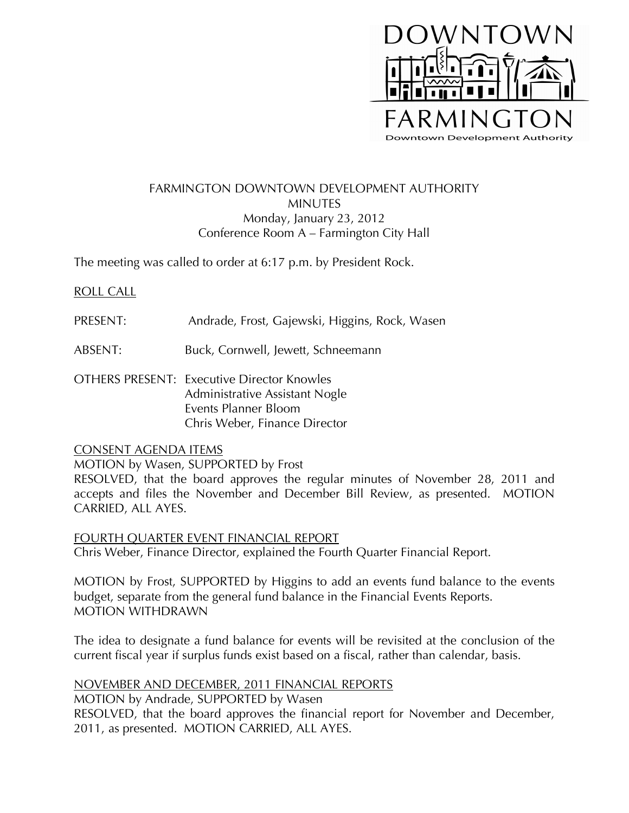

# FARMINGTON DOWNTOWN DEVELOPMENT AUTHORITY MINUTES Monday, January 23, 2012 Conference Room A – Farmington City Hall

The meeting was called to order at 6:17 p.m. by President Rock.

# ROLL CALL

- PRESENT: Andrade, Frost, Gajewski, Higgins, Rock, Wasen
- ABSENT: Buck, Cornwell, Jewett, Schneemann
- OTHERS PRESENT: Executive Director Knowles Administrative Assistant Nogle Events Planner Bloom Chris Weber, Finance Director

### CONSENT AGENDA ITEMS

MOTION by Wasen, SUPPORTED by Frost

RESOLVED, that the board approves the regular minutes of November 28, 2011 and accepts and files the November and December Bill Review, as presented. MOTION CARRIED, ALL AYES.

FOURTH QUARTER EVENT FINANCIAL REPORT Chris Weber, Finance Director, explained the Fourth Quarter Financial Report.

MOTION by Frost, SUPPORTED by Higgins to add an events fund balance to the events budget, separate from the general fund balance in the Financial Events Reports. MOTION WITHDRAWN

The idea to designate a fund balance for events will be revisited at the conclusion of the current fiscal year if surplus funds exist based on a fiscal, rather than calendar, basis.

### NOVEMBER AND DECEMBER, 2011 FINANCIAL REPORTS

MOTION by Andrade, SUPPORTED by Wasen RESOLVED, that the board approves the financial report for November and December, 2011, as presented. MOTION CARRIED, ALL AYES.